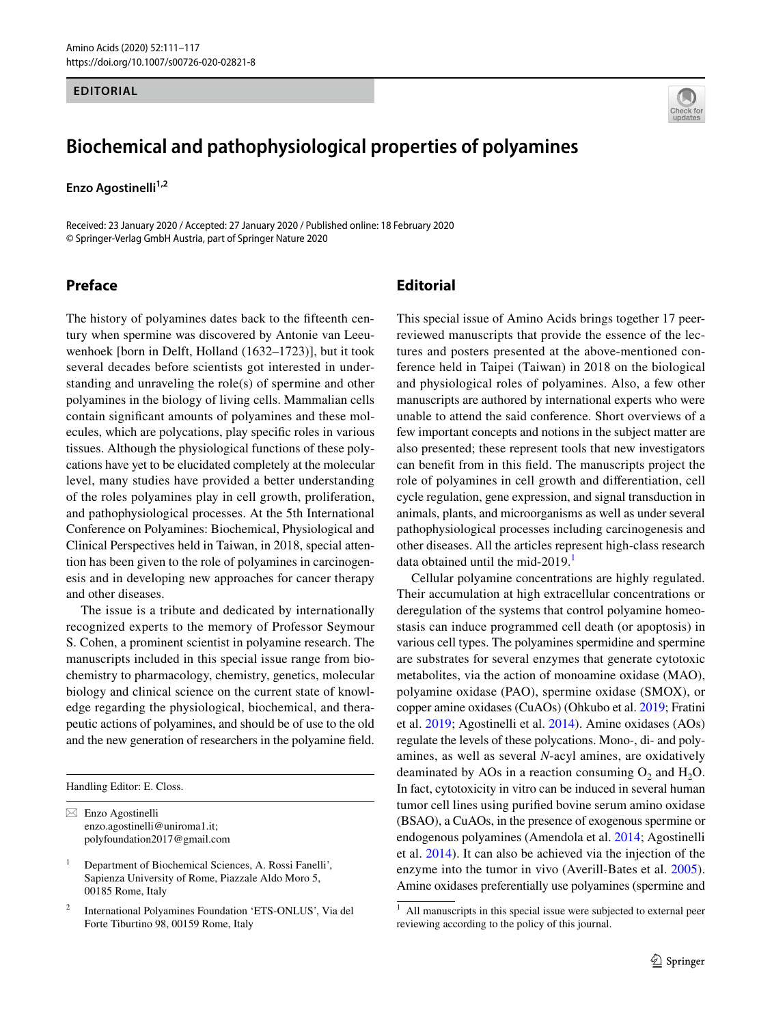#### **EDITORIAL**



# **Biochemical and pathophysiological properties of polyamines**

**Enzo Agostinelli**<sup>1,2</sup>

Received: 23 January 2020 / Accepted: 27 January 2020 / Published online: 18 February 2020 © Springer-Verlag GmbH Austria, part of Springer Nature 2020

### **Preface**

The history of polyamines dates back to the ffteenth century when spermine was discovered by Antonie van Leeuwenhoek [born in Delft, Holland (1632–1723)], but it took several decades before scientists got interested in understanding and unraveling the role(s) of spermine and other polyamines in the biology of living cells. Mammalian cells contain signifcant amounts of polyamines and these molecules, which are polycations, play specifc roles in various tissues. Although the physiological functions of these polycations have yet to be elucidated completely at the molecular level, many studies have provided a better understanding of the roles polyamines play in cell growth, proliferation, and pathophysiological processes. At the 5th International Conference on Polyamines: Biochemical, Physiological and Clinical Perspectives held in Taiwan, in 2018, special attention has been given to the role of polyamines in carcinogenesis and in developing new approaches for cancer therapy and other diseases.

The issue is a tribute and dedicated by internationally recognized experts to the memory of Professor Seymour S. Cohen, a prominent scientist in polyamine research. The manuscripts included in this special issue range from biochemistry to pharmacology, chemistry, genetics, molecular biology and clinical science on the current state of knowledge regarding the physiological, biochemical, and therapeutic actions of polyamines, and should be of use to the old and the new generation of researchers in the polyamine feld.

 $\boxtimes$  Enzo Agostinelli enzo.agostinelli@uniroma1.it; polyfoundation2017@gmail.com

## **Editorial**

This special issue of Amino Acids brings together 17 peerreviewed manuscripts that provide the essence of the lectures and posters presented at the above-mentioned conference held in Taipei (Taiwan) in 2018 on the biological and physiological roles of polyamines. Also, a few other manuscripts are authored by international experts who were unable to attend the said conference. Short overviews of a few important concepts and notions in the subject matter are also presented; these represent tools that new investigators can beneft from in this feld. The manuscripts project the role of polyamines in cell growth and diferentiation, cell cycle regulation, gene expression, and signal transduction in animals, plants, and microorganisms as well as under several pathophysiological processes including carcinogenesis and other diseases. All the articles represent high-class research data obtained until the mid-20[1](#page-0-0)9. $<sup>1</sup>$ </sup>

Cellular polyamine concentrations are highly regulated. Their accumulation at high extracellular concentrations or deregulation of the systems that control polyamine homeostasis can induce programmed cell death (or apoptosis) in various cell types. The polyamines spermidine and spermine are substrates for several enzymes that generate cytotoxic metabolites, via the action of monoamine oxidase (MAO), polyamine oxidase (PAO), spermine oxidase (SMOX), or copper amine oxidases (CuAOs) (Ohkubo et al. [2019](#page-6-0); Fratini et al. [2019;](#page-5-0) Agostinelli et al. [2014\)](#page-4-0). Amine oxidases (AOs) regulate the levels of these polycations. Mono-, di- and polyamines, as well as several *N*-acyl amines, are oxidatively deaminated by AOs in a reaction consuming  $O_2$  and  $H_2O$ . In fact, cytotoxicity in vitro can be induced in several human tumor cell lines using purifed bovine serum amino oxidase (BSAO), a CuAOs, in the presence of exogenous spermine or endogenous polyamines (Amendola et al. [2014](#page-4-1); Agostinelli et al. [2014\)](#page-4-0). It can also be achieved via the injection of the enzyme into the tumor in vivo (Averill-Bates et al. [2005](#page-4-2)). Amine oxidases preferentially use polyamines (spermine and

Handling Editor: E. Closs.

<sup>&</sup>lt;sup>1</sup> Department of Biochemical Sciences, A. Rossi Fanelli', Sapienza University of Rome, Piazzale Aldo Moro 5, 00185 Rome, Italy

International Polyamines Foundation 'ETS-ONLUS', Via del Forte Tiburtino 98, 00159 Rome, Italy

<span id="page-0-0"></span> $1$  All manuscripts in this special issue were subjected to external peer reviewing according to the policy of this journal.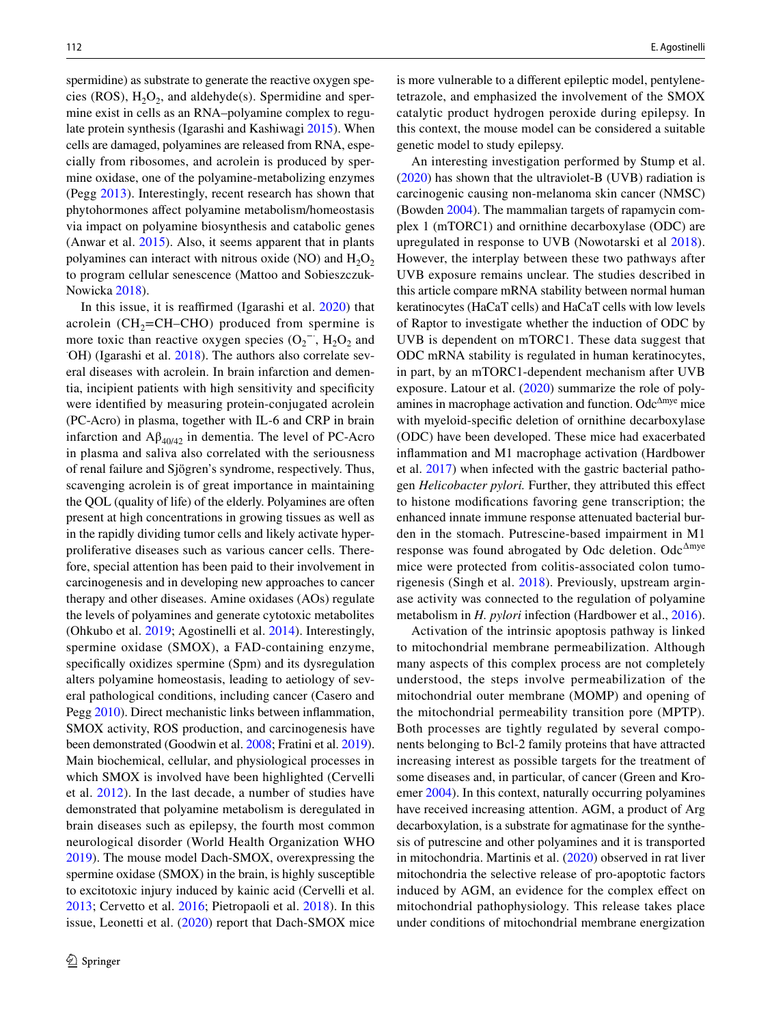spermidine) as substrate to generate the reactive oxygen species (ROS),  $H_2O_2$ , and aldehyde(s). Spermidine and spermine exist in cells as an RNA–polyamine complex to regulate protein synthesis (Igarashi and Kashiwagi [2015](#page-5-1)). When cells are damaged, polyamines are released from RNA, especially from ribosomes, and acrolein is produced by spermine oxidase, one of the polyamine-metabolizing enzymes (Pegg [2013\)](#page-6-1). Interestingly, recent research has shown that phytohormones afect polyamine metabolism/homeostasis via impact on polyamine biosynthesis and catabolic genes (Anwar et al. [2015\)](#page-4-3). Also, it seems apparent that in plants polyamines can interact with nitrous oxide (NO) and  $H_2O_2$ to program cellular senescence (Mattoo and Sobieszczuk-Nowicka [2018\)](#page-5-2).

In this issue, it is reaffirmed (Igarashi et al. [2020](#page-5-3)) that acrolein ( $CH<sub>2</sub>=CH-CHO$ ) produced from spermine is more toxic than reactive oxygen species  $(O_2^-$ ,  $H_2O_2$  and  $(O_H)$  (Joanashi et al. 2018). The authors also correlate sev-OH) (Igarashi et al. [2018](#page-5-4)). The authors also correlate several diseases with acrolein. In brain infarction and dementia, incipient patients with high sensitivity and specifcity were identifed by measuring protein-conjugated acrolein (PC-Acro) in plasma, together with IL-6 and CRP in brain infarction and  $A\beta_{40/42}$  in dementia. The level of PC-Acro in plasma and saliva also correlated with the seriousness of renal failure and Sjӧgren's syndrome, respectively. Thus, scavenging acrolein is of great importance in maintaining the QOL (quality of life) of the elderly. Polyamines are often present at high concentrations in growing tissues as well as in the rapidly dividing tumor cells and likely activate hyperproliferative diseases such as various cancer cells. Therefore, special attention has been paid to their involvement in carcinogenesis and in developing new approaches to cancer therapy and other diseases. Amine oxidases (AOs) regulate the levels of polyamines and generate cytotoxic metabolites (Ohkubo et al. [2019](#page-6-0); Agostinelli et al. [2014\)](#page-4-0). Interestingly, spermine oxidase (SMOX), a FAD-containing enzyme, specifcally oxidizes spermine (Spm) and its dysregulation alters polyamine homeostasis, leading to aetiology of several pathological conditions, including cancer (Casero and Pegg [2010\)](#page-4-4). Direct mechanistic links between inflammation, SMOX activity, ROS production, and carcinogenesis have been demonstrated (Goodwin et al. [2008;](#page-5-5) Fratini et al. [2019](#page-5-0)). Main biochemical, cellular, and physiological processes in which SMOX is involved have been highlighted (Cervelli et al. [2012\)](#page-4-5). In the last decade, a number of studies have demonstrated that polyamine metabolism is deregulated in brain diseases such as epilepsy, the fourth most common neurological disorder (World Health Organization WHO [2019](#page-6-2)). The mouse model Dach-SMOX, overexpressing the spermine oxidase (SMOX) in the brain, is highly susceptible to excitotoxic injury induced by kainic acid (Cervelli et al. [2013](#page-4-6); Cervetto et al. [2016](#page-4-7); Pietropaoli et al. [2018](#page-6-3)). In this issue, Leonetti et al. [\(2020\)](#page-5-6) report that Dach-SMOX mice

is more vulnerable to a diferent epileptic model, pentylenetetrazole, and emphasized the involvement of the SMOX catalytic product hydrogen peroxide during epilepsy. In this context, the mouse model can be considered a suitable genetic model to study epilepsy.

An interesting investigation performed by Stump et al. ([2020\)](#page-6-4) has shown that the ultraviolet-B (UVB) radiation is carcinogenic causing non-melanoma skin cancer (NMSC) (Bowden [2004\)](#page-4-8). The mammalian targets of rapamycin complex 1 (mTORC1) and ornithine decarboxylase (ODC) are upregulated in response to UVB (Nowotarski et al [2018](#page-6-5)). However, the interplay between these two pathways after UVB exposure remains unclear. The studies described in this article compare mRNA stability between normal human keratinocytes (HaCaT cells) and HaCaT cells with low levels of Raptor to investigate whether the induction of ODC by UVB is dependent on mTORC1. These data suggest that ODC mRNA stability is regulated in human keratinocytes, in part, by an mTORC1-dependent mechanism after UVB exposure. Latour et al. [\(2020](#page-5-7)) summarize the role of polyamines in macrophage activation and function. Odc<sup>∆</sup>mye mice with myeloid-specifc deletion of ornithine decarboxylase (ODC) have been developed. These mice had exacerbated infammation and M1 macrophage activation (Hardbower et al. [2017\)](#page-5-8) when infected with the gastric bacterial pathogen *Helicobacter pylori.* Further, they attributed this efect to histone modifcations favoring gene transcription; the enhanced innate immune response attenuated bacterial burden in the stomach. Putrescine-based impairment in M1 response was found abrogated by Odc deletion. Odc∆mye mice were protected from colitis-associated colon tumorigenesis (Singh et al. [2018\)](#page-6-6). Previously, upstream arginase activity was connected to the regulation of polyamine metabolism in *H. pylori* infection (Hardbower et al., [2016](#page-5-9)).

Activation of the intrinsic apoptosis pathway is linked to mitochondrial membrane permeabilization. Although many aspects of this complex process are not completely understood, the steps involve permeabilization of the mitochondrial outer membrane (MOMP) and opening of the mitochondrial permeability transition pore (MPTP). Both processes are tightly regulated by several components belonging to Bcl-2 family proteins that have attracted increasing interest as possible targets for the treatment of some diseases and, in particular, of cancer (Green and Kroemer [2004\)](#page-5-10). In this context, naturally occurring polyamines have received increasing attention. AGM, a product of Arg decarboxylation, is a substrate for agmatinase for the synthesis of putrescine and other polyamines and it is transported in mitochondria. Martinis et al. ([2020\)](#page-5-11) observed in rat liver mitochondria the selective release of pro-apoptotic factors induced by AGM, an evidence for the complex efect on mitochondrial pathophysiology. This release takes place under conditions of mitochondrial membrane energization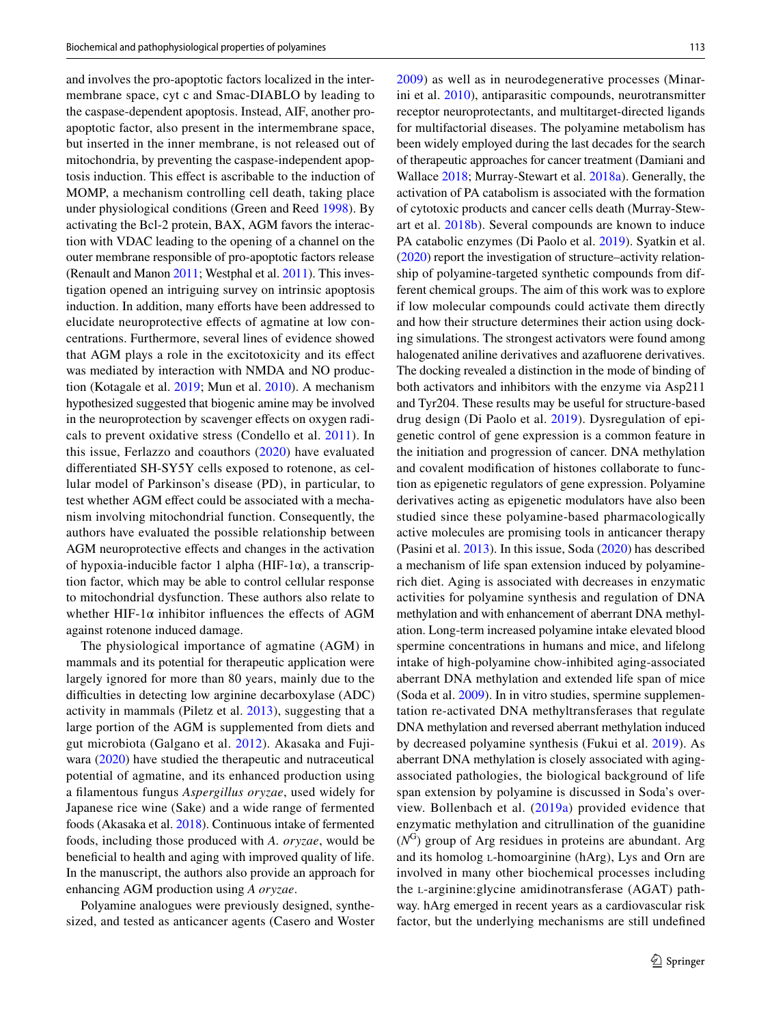and involves the pro-apoptotic factors localized in the intermembrane space, cyt c and Smac-DIABLO by leading to the caspase-dependent apoptosis. Instead, AIF, another proapoptotic factor, also present in the intermembrane space, but inserted in the inner membrane, is not released out of mitochondria, by preventing the caspase-independent apoptosis induction. This efect is ascribable to the induction of MOMP, a mechanism controlling cell death, taking place under physiological conditions (Green and Reed [1998\)](#page-5-12). By activating the Bcl-2 protein, BAX, AGM favors the interaction with VDAC leading to the opening of a channel on the outer membrane responsible of pro-apoptotic factors release (Renault and Manon [2011](#page-6-7); Westphal et al. [2011\)](#page-6-8). This investigation opened an intriguing survey on intrinsic apoptosis induction. In addition, many efforts have been addressed to elucidate neuroprotective efects of agmatine at low concentrations. Furthermore, several lines of evidence showed that AGM plays a role in the excitotoxicity and its efect was mediated by interaction with NMDA and NO production (Kotagale et al. [2019;](#page-5-13) Mun et al. [2010\)](#page-5-14). A mechanism hypothesized suggested that biogenic amine may be involved in the neuroprotection by scavenger effects on oxygen radicals to prevent oxidative stress (Condello et al. [2011](#page-4-9)). In this issue, Ferlazzo and coauthors [\(2020\)](#page-5-15) have evaluated diferentiated SH-SY5Y cells exposed to rotenone, as cellular model of Parkinson's disease (PD), in particular, to test whether AGM effect could be associated with a mechanism involving mitochondrial function. Consequently, the authors have evaluated the possible relationship between AGM neuroprotective effects and changes in the activation of hypoxia-inducible factor 1 alpha (HIF-1 $\alpha$ ), a transcription factor, which may be able to control cellular response to mitochondrial dysfunction. These authors also relate to whether HIF-1 $\alpha$  inhibitor influences the effects of AGM against rotenone induced damage.

The physiological importance of agmatine (AGM) in mammals and its potential for therapeutic application were largely ignored for more than 80 years, mainly due to the difficulties in detecting low arginine decarboxylase (ADC) activity in mammals (Piletz et al. [2013\)](#page-6-9), suggesting that a large portion of the AGM is supplemented from diets and gut microbiota (Galgano et al. [2012](#page-5-16)). Akasaka and Fujiwara ([2020\)](#page-4-10) have studied the therapeutic and nutraceutical potential of agmatine, and its enhanced production using a flamentous fungus *Aspergillus oryzae*, used widely for Japanese rice wine (Sake) and a wide range of fermented foods (Akasaka et al. [2018\)](#page-4-11). Continuous intake of fermented foods, including those produced with *A. oryzae*, would be benefcial to health and aging with improved quality of life. In the manuscript, the authors also provide an approach for enhancing AGM production using *A oryzae*.

Polyamine analogues were previously designed, synthesized, and tested as anticancer agents (Casero and Woster [2009\)](#page-4-12) as well as in neurodegenerative processes (Minarini et al. [2010](#page-5-17)), antiparasitic compounds, neurotransmitter receptor neuroprotectants, and multitarget-directed ligands for multifactorial diseases. The polyamine metabolism has been widely employed during the last decades for the search of therapeutic approaches for cancer treatment (Damiani and Wallace [2018](#page-4-13); Murray-Stewart et al. [2018a](#page-5-18)). Generally, the activation of PA catabolism is associated with the formation of cytotoxic products and cancer cells death (Murray-Stewart et al. [2018b\)](#page-5-19). Several compounds are known to induce PA catabolic enzymes (Di Paolo et al. [2019\)](#page-4-14). Syatkin et al. [\(2020](#page-6-10)) report the investigation of structure–activity relationship of polyamine-targeted synthetic compounds from different chemical groups. The aim of this work was to explore if low molecular compounds could activate them directly and how their structure determines their action using docking simulations. The strongest activators were found among halogenated aniline derivatives and azafuorene derivatives. The docking revealed a distinction in the mode of binding of both activators and inhibitors with the enzyme via Asp211 and Tyr204. These results may be useful for structure-based drug design (Di Paolo et al. [2019\)](#page-4-14). Dysregulation of epigenetic control of gene expression is a common feature in the initiation and progression of cancer. DNA methylation and covalent modifcation of histones collaborate to function as epigenetic regulators of gene expression. Polyamine derivatives acting as epigenetic modulators have also been studied since these polyamine-based pharmacologically active molecules are promising tools in anticancer therapy (Pasini et al. [2013\)](#page-6-11). In this issue, Soda [\(2020](#page-6-12)) has described a mechanism of life span extension induced by polyaminerich diet. Aging is associated with decreases in enzymatic activities for polyamine synthesis and regulation of DNA methylation and with enhancement of aberrant DNA methylation. Long-term increased polyamine intake elevated blood spermine concentrations in humans and mice, and lifelong intake of high-polyamine chow-inhibited aging-associated aberrant DNA methylation and extended life span of mice (Soda et al. [2009](#page-6-13)). In in vitro studies, spermine supplementation re-activated DNA methyltransferases that regulate DNA methylation and reversed aberrant methylation induced by decreased polyamine synthesis (Fukui et al. [2019\)](#page-5-20). As aberrant DNA methylation is closely associated with agingassociated pathologies, the biological background of life span extension by polyamine is discussed in Soda's overview. Bollenbach et al. ([2019a\)](#page-4-15) provided evidence that enzymatic methylation and citrullination of the guanidine  $(N<sup>G</sup>)$  group of Arg residues in proteins are abundant. Arg and its homolog l-homoarginine (hArg), Lys and Orn are involved in many other biochemical processes including the l-arginine:glycine amidinotransferase (AGAT) pathway. hArg emerged in recent years as a cardiovascular risk factor, but the underlying mechanisms are still undefned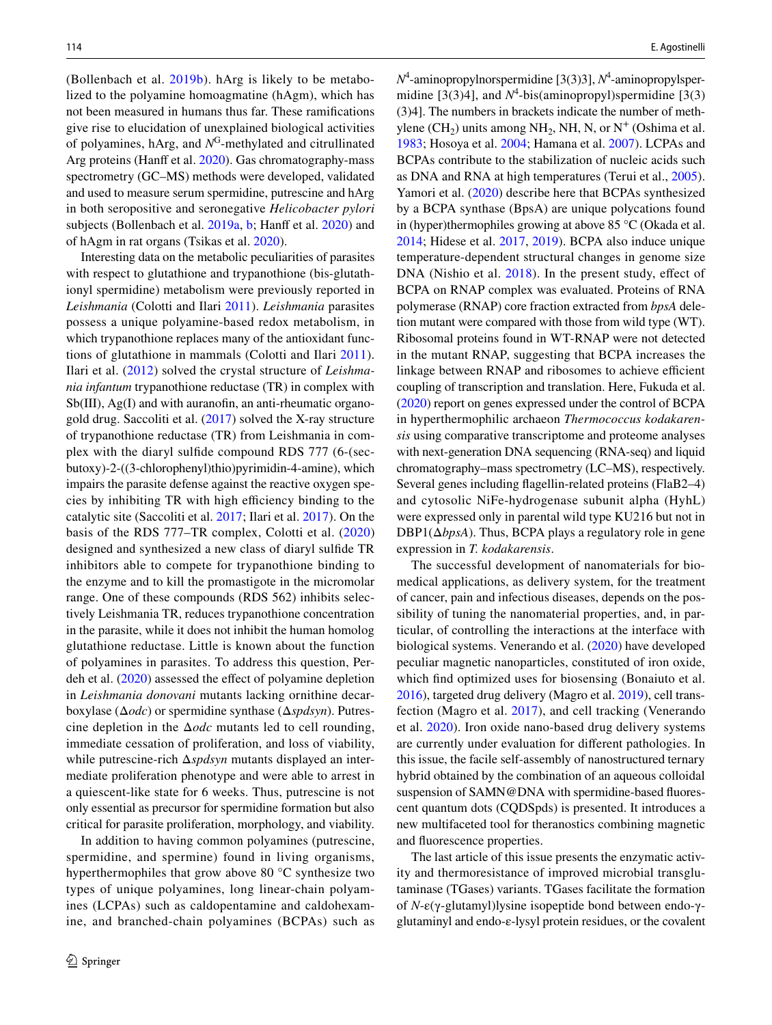(Bollenbach et al. [2019b](#page-4-16)). hArg is likely to be metabolized to the polyamine homoagmatine (hAgm), which has not been measured in humans thus far. These ramifcations give rise to elucidation of unexplained biological activities of polyamines, hArg, and  $N<sup>G</sup>$ -methylated and citrullinated Arg proteins (Hanff et al. [2020\)](#page-5-21). Gas chromatography-mass spectrometry (GC–MS) methods were developed, validated and used to measure serum spermidine, putrescine and hArg in both seropositive and seronegative *Helicobacter pylori* subjects (Bollenbach et al. [2019a](#page-4-15), [b](#page-4-15); Hanff et al. [2020\)](#page-5-21) and of hAgm in rat organs (Tsikas et al. [2020\)](#page-6-14).

Interesting data on the metabolic peculiarities of parasites with respect to glutathione and trypanothione (bis-glutathionyl spermidine) metabolism were previously reported in *Leishmania* (Colotti and Ilari [2011](#page-4-17)). *Leishmania* parasites possess a unique polyamine-based redox metabolism, in which trypanothione replaces many of the antioxidant functions of glutathione in mammals (Colotti and Ilari [2011](#page-4-17)). Ilari et al. [\(2012\)](#page-5-22) solved the crystal structure of *Leishmania infantum* trypanothione reductase (TR) in complex with Sb(III), Ag(I) and with auranofn, an anti-rheumatic organogold drug. Saccoliti et al. ([2017\)](#page-6-15) solved the X-ray structure of trypanothione reductase (TR) from Leishmania in complex with the diaryl sulfde compound RDS 777 (6-(secbutoxy)-2-((3-chlorophenyl)thio)pyrimidin-4-amine), which impairs the parasite defense against the reactive oxygen species by inhibiting TR with high efficiency binding to the catalytic site (Saccoliti et al. [2017](#page-6-15); Ilari et al. [2017\)](#page-5-23). On the basis of the RDS 777–TR complex, Colotti et al. ([2020\)](#page-4-18) designed and synthesized a new class of diaryl sulfde TR inhibitors able to compete for trypanothione binding to the enzyme and to kill the promastigote in the micromolar range. One of these compounds (RDS 562) inhibits selectively Leishmania TR, reduces trypanothione concentration in the parasite, while it does not inhibit the human homolog glutathione reductase. Little is known about the function of polyamines in parasites. To address this question, Perdeh et al. [\(2020\)](#page-6-16) assessed the efect of polyamine depletion in *Leishmania donovani* mutants lacking ornithine decarboxylase (Δ*odc*) or spermidine synthase (Δ*spdsyn*). Putrescine depletion in the Δ*odc* mutants led to cell rounding, immediate cessation of proliferation, and loss of viability, while putrescine-rich Δ*spdsyn* mutants displayed an intermediate proliferation phenotype and were able to arrest in a quiescent-like state for 6 weeks. Thus, putrescine is not only essential as precursor for spermidine formation but also critical for parasite proliferation, morphology, and viability.

In addition to having common polyamines (putrescine, spermidine, and spermine) found in living organisms, hyperthermophiles that grow above 80 °C synthesize two types of unique polyamines, long linear-chain polyamines (LCPAs) such as caldopentamine and caldohexamine, and branched-chain polyamines (BCPAs) such as

*N*4 -aminopropylnorspermidine [3(3)3], *N*<sup>4</sup> -aminopropylspermidine [3(3)4], and  $N^4$ -bis(aminopropyl)spermidine [3(3) (3)4]. The numbers in brackets indicate the number of methylene (CH<sub>2</sub>) units among NH<sub>2</sub>, NH, N, or  $N^+$  (Oshima et al. [1983](#page-6-17); Hosoya et al. [2004;](#page-5-24) Hamana et al. [2007\)](#page-5-25). LCPAs and BCPAs contribute to the stabilization of nucleic acids such as DNA and RNA at high temperatures (Terui et al., [2005](#page-6-18)). Yamori et al. [\(2020\)](#page-6-19) describe here that BCPAs synthesized by a BCPA synthase (BpsA) are unique polycations found in (hyper)thermophiles growing at above 85 °C (Okada et al. [2014](#page-6-20); Hidese et al. [2017,](#page-5-26) [2019](#page-5-27)). BCPA also induce unique temperature-dependent structural changes in genome size DNA (Nishio et al. [2018\)](#page-5-28). In the present study, effect of BCPA on RNAP complex was evaluated. Proteins of RNA polymerase (RNAP) core fraction extracted from *bpsA* deletion mutant were compared with those from wild type (WT). Ribosomal proteins found in WT-RNAP were not detected in the mutant RNAP, suggesting that BCPA increases the linkage between RNAP and ribosomes to achieve efficient coupling of transcription and translation. Here, Fukuda et al. [\(2020](#page-5-29)) report on genes expressed under the control of BCPA in hyperthermophilic archaeon *Thermococcus kodakarensis* using comparative transcriptome and proteome analyses with next-generation DNA sequencing (RNA-seq) and liquid chromatography–mass spectrometry (LC–MS), respectively. Several genes including fagellin-related proteins (FlaB2–4) and cytosolic NiFe-hydrogenase subunit alpha (HyhL) were expressed only in parental wild type KU216 but not in DBP1(Δ*bpsA*). Thus, BCPA plays a regulatory role in gene expression in *T. kodakarensis*.

The successful development of nanomaterials for biomedical applications, as delivery system, for the treatment of cancer, pain and infectious diseases, depends on the possibility of tuning the nanomaterial properties, and, in particular, of controlling the interactions at the interface with biological systems. Venerando et al. ([2020\)](#page-6-21) have developed peculiar magnetic nanoparticles, constituted of iron oxide, which fnd optimized uses for biosensing (Bonaiuto et al. [2016](#page-4-19)), targeted drug delivery (Magro et al. [2019\)](#page-5-30), cell transfection (Magro et al. [2017](#page-5-31)), and cell tracking (Venerando et al. [2020\)](#page-6-21). Iron oxide nano-based drug delivery systems are currently under evaluation for diferent pathologies. In this issue, the facile self-assembly of nanostructured ternary hybrid obtained by the combination of an aqueous colloidal suspension of SAMN@DNA with spermidine-based fuorescent quantum dots (CQDSpds) is presented. It introduces a new multifaceted tool for theranostics combining magnetic and fuorescence properties.

The last article of this issue presents the enzymatic activity and thermoresistance of improved microbial transglutaminase (TGases) variants. TGases facilitate the formation of *N*-ε(γ-glutamyl)lysine isopeptide bond between endo-γglutaminyl and endo-ε-lysyl protein residues, or the covalent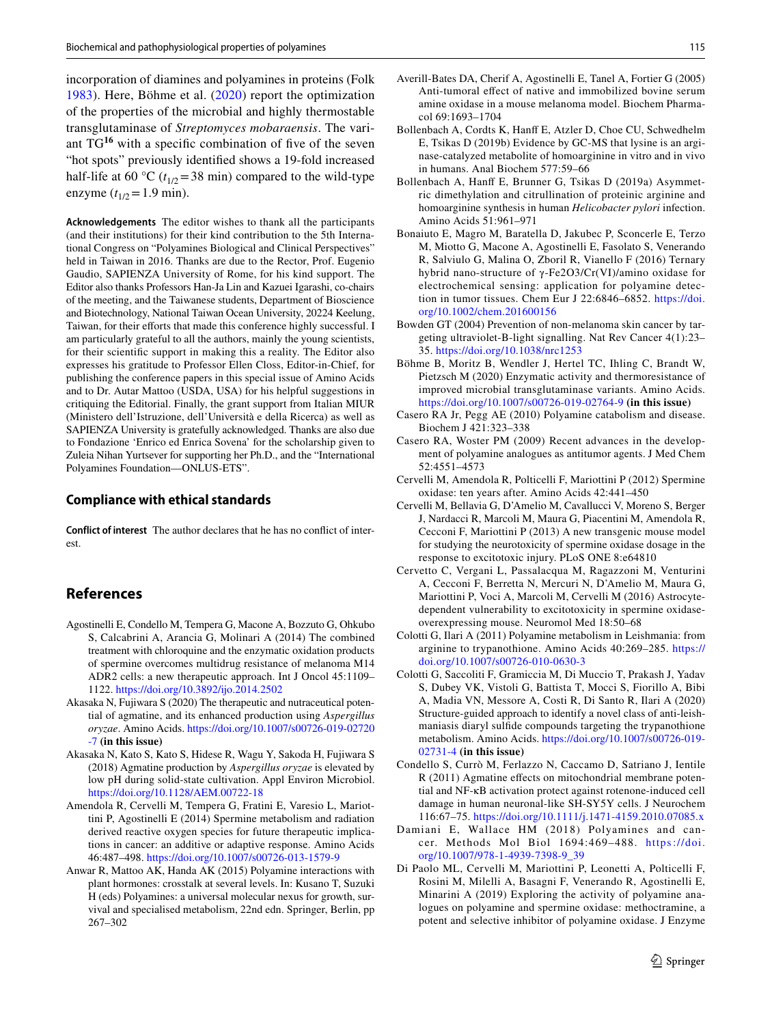incorporation of diamines and polyamines in proteins (Folk [1983\)](#page-5-32). Here, Böhme et al. [\(2020\)](#page-4-20) report the optimization of the properties of the microbial and highly thermostable transglutaminase of *Streptomyces mobaraensis*. The variant TG**<sup>16</sup>** with a specifc combination of fve of the seven "hot spots" previously identifed shows a 19-fold increased half-life at 60 °C ( $t_{1/2}$ =38 min) compared to the wild-type enzyme  $(t_{1/2}=1.9 \text{ min}).$ 

**Acknowledgements** The editor wishes to thank all the participants (and their institutions) for their kind contribution to the 5th International Congress on "Polyamines Biological and Clinical Perspectives" held in Taiwan in 2016. Thanks are due to the Rector, Prof. Eugenio Gaudio, SAPIENZA University of Rome, for his kind support. The Editor also thanks Professors Han-Ja Lin and Kazuei Igarashi, co-chairs of the meeting, and the Taiwanese students, Department of Bioscience and Biotechnology, National Taiwan Ocean University, 20224 Keelung, Taiwan, for their efforts that made this conference highly successful. I am particularly grateful to all the authors, mainly the young scientists, for their scientifc support in making this a reality. The Editor also expresses his gratitude to Professor Ellen Closs, Editor-in-Chief, for publishing the conference papers in this special issue of Amino Acids and to Dr. Autar Mattoo (USDA, USA) for his helpful suggestions in critiquing the Editorial. Finally, the grant support from Italian MIUR (Ministero dell'Istruzione, dell'Università e della Ricerca) as well as SAPIENZA University is gratefully acknowledged. Thanks are also due to Fondazione 'Enrico ed Enrica Sovena' for the scholarship given to Zuleia Nihan Yurtsever for supporting her Ph.D., and the "International Polyamines Foundation—ONLUS-ETS".

#### **Compliance with ethical standards**

**Conflict of interest** The author declares that he has no confict of interest.

### **References**

- <span id="page-4-0"></span>Agostinelli E, Condello M, Tempera G, Macone A, Bozzuto G, Ohkubo S, Calcabrini A, Arancia G, Molinari A (2014) The combined treatment with chloroquine and the enzymatic oxidation products of spermine overcomes multidrug resistance of melanoma M14 ADR2 cells: a new therapeutic approach. Int J Oncol 45:1109– 1122.<https://doi.org/10.3892/ijo.2014.2502>
- <span id="page-4-10"></span>Akasaka N, Fujiwara S (2020) The therapeutic and nutraceutical potential of agmatine, and its enhanced production using *Aspergillus oryzae*. Amino Acids. [https://doi.org/10.1007/s00726-019-02720](https://doi.org/10.1007/s00726-019-02720-7) [-7](https://doi.org/10.1007/s00726-019-02720-7) **(in this issue)**
- <span id="page-4-11"></span>Akasaka N, Kato S, Kato S, Hidese R, Wagu Y, Sakoda H, Fujiwara S (2018) Agmatine production by *Aspergillus oryzae* is elevated by low pH during solid-state cultivation. Appl Environ Microbiol. <https://doi.org/10.1128/AEM.00722-18>
- <span id="page-4-1"></span>Amendola R, Cervelli M, Tempera G, Fratini E, Varesio L, Mariottini P, Agostinelli E (2014) Spermine metabolism and radiation derived reactive oxygen species for future therapeutic implications in cancer: an additive or adaptive response. Amino Acids 46:487–498.<https://doi.org/10.1007/s00726-013-1579-9>
- <span id="page-4-3"></span>Anwar R, Mattoo AK, Handa AK (2015) Polyamine interactions with plant hormones: crosstalk at several levels. In: Kusano T, Suzuki H (eds) Polyamines: a universal molecular nexus for growth, survival and specialised metabolism, 22nd edn. Springer, Berlin, pp 267–302
- <span id="page-4-2"></span>Averill-Bates DA, Cherif A, Agostinelli E, Tanel A, Fortier G (2005) Anti-tumoral efect of native and immobilized bovine serum amine oxidase in a mouse melanoma model. Biochem Pharmacol 69:1693–1704
- <span id="page-4-16"></span>Bollenbach A, Cordts K, Hanf E, Atzler D, Choe CU, Schwedhelm E, Tsikas D (2019b) Evidence by GC-MS that lysine is an arginase-catalyzed metabolite of homoarginine in vitro and in vivo in humans. Anal Biochem 577:59–66
- <span id="page-4-15"></span>Bollenbach A, Hanf E, Brunner G, Tsikas D (2019a) Asymmetric dimethylation and citrullination of proteinic arginine and homoarginine synthesis in human *Helicobacter pylori* infection. Amino Acids 51:961–971
- <span id="page-4-19"></span>Bonaiuto E, Magro M, Baratella D, Jakubec P, Sconcerle E, Terzo M, Miotto G, Macone A, Agostinelli E, Fasolato S, Venerando R, Salviulo G, Malina O, Zboril R, Vianello F (2016) Ternary hybrid nano-structure of γ-Fe2O3/Cr(VI)/amino oxidase for electrochemical sensing: application for polyamine detection in tumor tissues. Chem Eur J 22:6846–6852. [https://doi.](https://doi.org/10.1002/chem.201600156) [org/10.1002/chem.201600156](https://doi.org/10.1002/chem.201600156)
- <span id="page-4-8"></span>Bowden GT (2004) Prevention of non-melanoma skin cancer by targeting ultraviolet-B-light signalling. Nat Rev Cancer 4(1):23– 35.<https://doi.org/10.1038/nrc1253>
- <span id="page-4-20"></span>Böhme B, Moritz B, Wendler J, Hertel TC, Ihling C, Brandt W, Pietzsch M (2020) Enzymatic activity and thermoresistance of improved microbial transglutaminase variants. Amino Acids. <https://doi.org/10.1007/s00726-019-02764-9> **(in this issue)**
- <span id="page-4-4"></span>Casero RA Jr, Pegg AE (2010) Polyamine catabolism and disease. Biochem J 421:323–338
- <span id="page-4-12"></span>Casero RA, Woster PM (2009) Recent advances in the development of polyamine analogues as antitumor agents. J Med Chem 52:4551–4573
- <span id="page-4-5"></span>Cervelli M, Amendola R, Polticelli F, Mariottini P (2012) Spermine oxidase: ten years after. Amino Acids 42:441–450
- <span id="page-4-6"></span>Cervelli M, Bellavia G, D'Amelio M, Cavallucci V, Moreno S, Berger J, Nardacci R, Marcoli M, Maura G, Piacentini M, Amendola R, Cecconi F, Mariottini P (2013) A new transgenic mouse model for studying the neurotoxicity of spermine oxidase dosage in the response to excitotoxic injury. PLoS ONE 8:e64810
- <span id="page-4-7"></span>Cervetto C, Vergani L, Passalacqua M, Ragazzoni M, Venturini A, Cecconi F, Berretta N, Mercuri N, D'Amelio M, Maura G, Mariottini P, Voci A, Marcoli M, Cervelli M (2016) Astrocytedependent vulnerability to excitotoxicity in spermine oxidaseoverexpressing mouse. Neuromol Med 18:50–68
- <span id="page-4-17"></span>Colotti G, Ilari A (2011) Polyamine metabolism in Leishmania: from arginine to trypanothione. Amino Acids 40:269–285. [https://](https://doi.org/10.1007/s00726-010-0630-3) [doi.org/10.1007/s00726-010-0630-3](https://doi.org/10.1007/s00726-010-0630-3)
- <span id="page-4-18"></span>Colotti G, Saccoliti F, Gramiccia M, Di Muccio T, Prakash J, Yadav S, Dubey VK, Vistoli G, Battista T, Mocci S, Fiorillo A, Bibi A, Madia VN, Messore A, Costi R, Di Santo R, Ilari A (2020) Structure-guided approach to identify a novel class of anti-leishmaniasis diaryl sulfde compounds targeting the trypanothione metabolism. Amino Acids. [https://doi.org/10.1007/s00726-019-](https://doi.org/10.1007/s00726-019-02731-4) [02731-4](https://doi.org/10.1007/s00726-019-02731-4) **(in this issue)**
- <span id="page-4-9"></span>Condello S, Currò M, Ferlazzo N, Caccamo D, Satriano J, Ientile R (2011) Agmatine effects on mitochondrial membrane potential and NF-κB activation protect against rotenone-induced cell damage in human neuronal-like SH-SY5Y cells. J Neurochem 116:67–75.<https://doi.org/10.1111/j.1471-4159.2010.07085.x>
- <span id="page-4-13"></span>Damiani E, Wallace HM (2018) Polyamines and cancer. Methods Mol Biol 1694:469–488. [https://doi.](https://doi.org/10.1007/978-1-4939-7398-9_39) [org/10.1007/978-1-4939-7398-9\\_39](https://doi.org/10.1007/978-1-4939-7398-9_39)
- <span id="page-4-14"></span>Di Paolo ML, Cervelli M, Mariottini P, Leonetti A, Polticelli F, Rosini M, Milelli A, Basagni F, Venerando R, Agostinelli E, Minarini A (2019) Exploring the activity of polyamine analogues on polyamine and spermine oxidase: methoctramine, a potent and selective inhibitor of polyamine oxidase. J Enzyme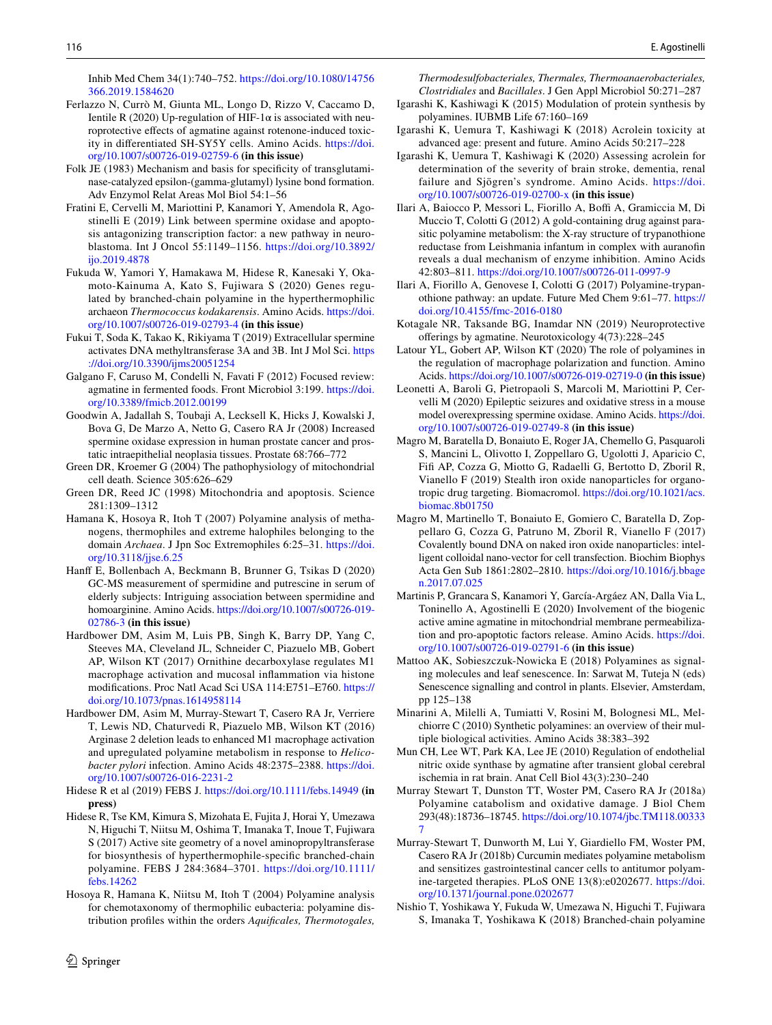Inhib Med Chem 34(1):740–752. [https://doi.org/10.1080/14756](https://doi.org/10.1080/14756366.2019.1584620) [366.2019.1584620](https://doi.org/10.1080/14756366.2019.1584620)

- <span id="page-5-15"></span>Ferlazzo N, Currò M, Giunta ML, Longo D, Rizzo V, Caccamo D, Ientile R (2020) Up-regulation of HIF-1α is associated with neuroprotective efects of agmatine against rotenone-induced toxicity in diferentiated SH-SY5Y cells. Amino Acids. [https://doi.](https://doi.org/10.1007/s00726-019-02759-6) [org/10.1007/s00726-019-02759-6](https://doi.org/10.1007/s00726-019-02759-6) **(in this issue)**
- <span id="page-5-32"></span>Folk JE (1983) Mechanism and basis for specificity of transglutaminase-catalyzed epsilon-(gamma-glutamyl) lysine bond formation. Adv Enzymol Relat Areas Mol Biol 54:1–56
- <span id="page-5-0"></span>Fratini E, Cervelli M, Mariottini P, Kanamori Y, Amendola R, Agostinelli E (2019) Link between spermine oxidase and apoptosis antagonizing transcription factor: a new pathway in neuroblastoma. Int J Oncol 55:1149–1156. [https://doi.org/10.3892/](https://doi.org/10.3892/ijo.2019.4878) [ijo.2019.4878](https://doi.org/10.3892/ijo.2019.4878)
- <span id="page-5-29"></span>Fukuda W, Yamori Y, Hamakawa M, Hidese R, Kanesaki Y, Okamoto-Kainuma A, Kato S, Fujiwara S (2020) Genes regulated by branched-chain polyamine in the hyperthermophilic archaeon *Thermococcus kodakarensis*. Amino Acids. [https://doi.](https://doi.org/10.1007/s00726-019-02793-4) [org/10.1007/s00726-019-02793-4](https://doi.org/10.1007/s00726-019-02793-4) **(in this issue)**
- <span id="page-5-20"></span>Fukui T, Soda K, Takao K, Rikiyama T (2019) Extracellular spermine activates DNA methyltransferase 3A and 3B. Int J Mol Sci. [https](https://doi.org/10.3390/ijms20051254) [://doi.org/10.3390/ijms20051254](https://doi.org/10.3390/ijms20051254)
- <span id="page-5-16"></span>Galgano F, Caruso M, Condelli N, Favati F (2012) Focused review: agmatine in fermented foods. Front Microbiol 3:199. [https://doi.](https://doi.org/10.3389/fmicb.2012.00199) [org/10.3389/fmicb.2012.00199](https://doi.org/10.3389/fmicb.2012.00199)
- <span id="page-5-5"></span>Goodwin A, Jadallah S, Toubaji A, Lecksell K, Hicks J, Kowalski J, Bova G, De Marzo A, Netto G, Casero RA Jr (2008) Increased spermine oxidase expression in human prostate cancer and prostatic intraepithelial neoplasia tissues. Prostate 68:766–772
- <span id="page-5-10"></span>Green DR, Kroemer G (2004) The pathophysiology of mitochondrial cell death. Science 305:626–629
- <span id="page-5-12"></span>Green DR, Reed JC (1998) Mitochondria and apoptosis. Science 281:1309–1312
- <span id="page-5-25"></span>Hamana K, Hosoya R, Itoh T (2007) Polyamine analysis of methanogens, thermophiles and extreme halophiles belonging to the domain *Archaea*. J Jpn Soc Extremophiles 6:25–31. [https://doi.](https://doi.org/10.3118/jjse.6.25) [org/10.3118/jjse.6.25](https://doi.org/10.3118/jjse.6.25)
- <span id="page-5-21"></span>Hanff E, Bollenbach A, Beckmann B, Brunner G, Tsikas D (2020) GC-MS measurement of spermidine and putrescine in serum of elderly subjects: Intriguing association between spermidine and homoarginine. Amino Acids. [https://doi.org/10.1007/s00726-019-](https://doi.org/10.1007/s00726-019-02786-3) [02786-3](https://doi.org/10.1007/s00726-019-02786-3) **(in this issue)**
- <span id="page-5-8"></span>Hardbower DM, Asim M, Luis PB, Singh K, Barry DP, Yang C, Steeves MA, Cleveland JL, Schneider C, Piazuelo MB, Gobert AP, Wilson KT (2017) Ornithine decarboxylase regulates M1 macrophage activation and mucosal infammation via histone modifcations. Proc Natl Acad Sci USA 114:E751–E760. [https://](https://doi.org/10.1073/pnas.1614958114) [doi.org/10.1073/pnas.1614958114](https://doi.org/10.1073/pnas.1614958114)
- <span id="page-5-9"></span>Hardbower DM, Asim M, Murray-Stewart T, Casero RA Jr, Verriere T, Lewis ND, Chaturvedi R, Piazuelo MB, Wilson KT (2016) Arginase 2 deletion leads to enhanced M1 macrophage activation and upregulated polyamine metabolism in response to *Helicobacter pylori* infection. Amino Acids 48:2375–2388. [https://doi.](https://doi.org/10.1007/s00726-016-2231-2) [org/10.1007/s00726-016-2231-2](https://doi.org/10.1007/s00726-016-2231-2)
- <span id="page-5-27"></span>Hidese R et al (2019) FEBS J. <https://doi.org/10.1111/febs.14949> **(in press)**
- <span id="page-5-26"></span>Hidese R, Tse KM, Kimura S, Mizohata E, Fujita J, Horai Y, Umezawa N, Higuchi T, Niitsu M, Oshima T, Imanaka T, Inoue T, Fujiwara S (2017) Active site geometry of a novel aminopropyltransferase for biosynthesis of hyperthermophile-specifc branched-chain polyamine. FEBS J 284:3684–3701. [https://doi.org/10.1111/](https://doi.org/10.1111/febs.14262) [febs.14262](https://doi.org/10.1111/febs.14262)
- <span id="page-5-24"></span>Hosoya R, Hamana K, Niitsu M, Itoh T (2004) Polyamine analysis for chemotaxonomy of thermophilic eubacteria: polyamine distribution profles within the orders *Aquifcales, Thermotogales,*

*Thermodesulfobacteriales, Thermales, Thermoanaerobacteriales, Clostridiales* and *Bacillales*. J Gen Appl Microbiol 50:271–287

- <span id="page-5-1"></span>Igarashi K, Kashiwagi K (2015) Modulation of protein synthesis by polyamines. IUBMB Life 67:160–169
- <span id="page-5-4"></span>Igarashi K, Uemura T, Kashiwagi K (2018) Acrolein toxicity at advanced age: present and future. Amino Acids 50:217–228
- <span id="page-5-3"></span>Igarashi K, Uemura T, Kashiwagi K (2020) Assessing acrolein for determination of the severity of brain stroke, dementia, renal failure and Sjӧgren's syndrome. Amino Acids. [https://doi.](https://doi.org/10.1007/s00726-019-02700-x) [org/10.1007/s00726-019-02700-x](https://doi.org/10.1007/s00726-019-02700-x) **(in this issue)**
- <span id="page-5-22"></span>Ilari A, Baiocco P, Messori L, Fiorillo A, Boffi A, Gramiccia M, Di Muccio T, Colotti G (2012) A gold-containing drug against parasitic polyamine metabolism: the X-ray structure of trypanothione reductase from Leishmania infantum in complex with auranofn reveals a dual mechanism of enzyme inhibition. Amino Acids 42:803–811.<https://doi.org/10.1007/s00726-011-0997-9>
- <span id="page-5-23"></span>Ilari A, Fiorillo A, Genovese I, Colotti G (2017) Polyamine-trypanothione pathway: an update. Future Med Chem 9:61–77. [https://](https://doi.org/10.4155/fmc-2016-0180) [doi.org/10.4155/fmc-2016-0180](https://doi.org/10.4155/fmc-2016-0180)
- <span id="page-5-13"></span>Kotagale NR, Taksande BG, Inamdar NN (2019) Neuroprotective offerings by agmatine. Neurotoxicology 4(73):228-245
- <span id="page-5-7"></span>Latour YL, Gobert AP, Wilson KT (2020) The role of polyamines in the regulation of macrophage polarization and function. Amino Acids. <https://doi.org/10.1007/s00726-019-02719-0> **(in this issue)**
- <span id="page-5-6"></span>Leonetti A, Baroli G, Pietropaoli S, Marcoli M, Mariottini P, Cervelli M (2020) Epileptic seizures and oxidative stress in a mouse model overexpressing spermine oxidase. Amino Acids. [https://doi.](https://doi.org/10.1007/s00726-019-02749-8) [org/10.1007/s00726-019-02749-8](https://doi.org/10.1007/s00726-019-02749-8) **(in this issue)**
- <span id="page-5-30"></span>Magro M, Baratella D, Bonaiuto E, Roger JA, Chemello G, Pasquaroli S, Mancini L, Olivotto I, Zoppellaro G, Ugolotti J, Aparicio C, Fif AP, Cozza G, Miotto G, Radaelli G, Bertotto D, Zboril R, Vianello F (2019) Stealth iron oxide nanoparticles for organotropic drug targeting. Biomacromol. [https://doi.org/10.1021/acs.](https://doi.org/10.1021/acs.biomac.8b01750) [biomac.8b01750](https://doi.org/10.1021/acs.biomac.8b01750)
- <span id="page-5-31"></span>Magro M, Martinello T, Bonaiuto E, Gomiero C, Baratella D, Zoppellaro G, Cozza G, Patruno M, Zboril R, Vianello F (2017) Covalently bound DNA on naked iron oxide nanoparticles: intelligent colloidal nano-vector for cell transfection. Biochim Biophys Acta Gen Sub 1861:2802–2810. [https://doi.org/10.1016/j.bbage](https://doi.org/10.1016/j.bbagen.2017.07.025) [n.2017.07.025](https://doi.org/10.1016/j.bbagen.2017.07.025)
- <span id="page-5-11"></span>Martinis P, Grancara S, Kanamori Y, García-Argáez AN, Dalla Via L, Toninello A, Agostinelli E (2020) Involvement of the biogenic active amine agmatine in mitochondrial membrane permeabilization and pro-apoptotic factors release. Amino Acids. [https://doi.](https://doi.org/10.1007/s00726-019-02791-6) [org/10.1007/s00726-019-02791-6](https://doi.org/10.1007/s00726-019-02791-6) **(in this issue)**
- <span id="page-5-2"></span>Mattoo AK, Sobieszczuk-Nowicka E (2018) Polyamines as signaling molecules and leaf senescence. In: Sarwat M, Tuteja N (eds) Senescence signalling and control in plants. Elsevier, Amsterdam, pp 125–138
- <span id="page-5-17"></span>Minarini A, Milelli A, Tumiatti V, Rosini M, Bolognesi ML, Melchiorre C (2010) Synthetic polyamines: an overview of their multiple biological activities. Amino Acids 38:383–392
- <span id="page-5-14"></span>Mun CH, Lee WT, Park KA, Lee JE (2010) Regulation of endothelial nitric oxide synthase by agmatine after transient global cerebral ischemia in rat brain. Anat Cell Biol 43(3):230–240
- <span id="page-5-18"></span>Murray Stewart T, Dunston TT, Woster PM, Casero RA Jr (2018a) Polyamine catabolism and oxidative damage. J Biol Chem 293(48):18736–18745. [https://doi.org/10.1074/jbc.TM118.00333](https://doi.org/10.1074/jbc.TM118.003337) [7](https://doi.org/10.1074/jbc.TM118.003337)
- <span id="page-5-19"></span>Murray-Stewart T, Dunworth M, Lui Y, Giardiello FM, Woster PM, Casero RA Jr (2018b) Curcumin mediates polyamine metabolism and sensitizes gastrointestinal cancer cells to antitumor polyamine-targeted therapies. PLoS ONE 13(8):e0202677. [https://doi.](https://doi.org/10.1371/journal.pone.0202677) [org/10.1371/journal.pone.0202677](https://doi.org/10.1371/journal.pone.0202677)
- <span id="page-5-28"></span>Nishio T, Yoshikawa Y, Fukuda W, Umezawa N, Higuchi T, Fujiwara S, Imanaka T, Yoshikawa K (2018) Branched-chain polyamine